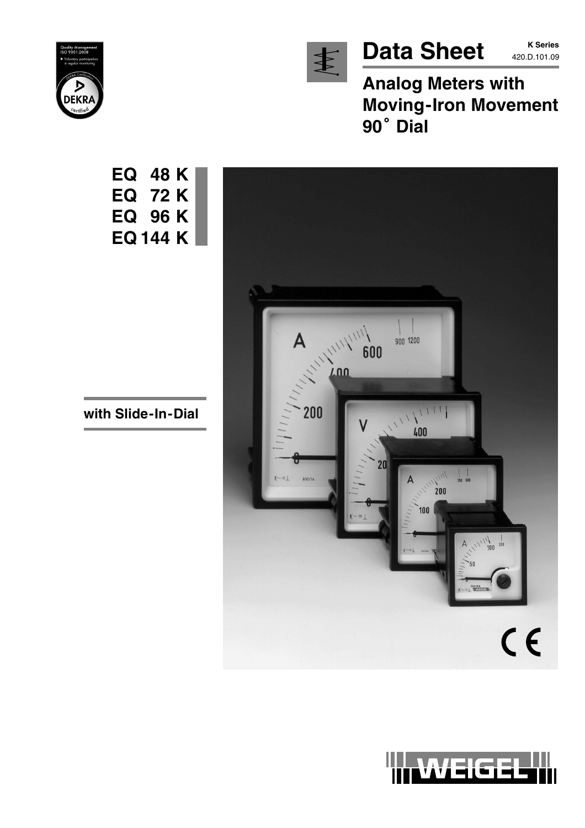

Data Sheet **K Series** 

**K Series**

**Analog Meters with Moving-Iron Movement** Analog<br>Moving·<br>90<sup>°</sup> Dial





**with Slide-In-Dial**

**EQ 48 K**

**EQ 72 K**

**EQ 96 K**

**EQ 144 K**

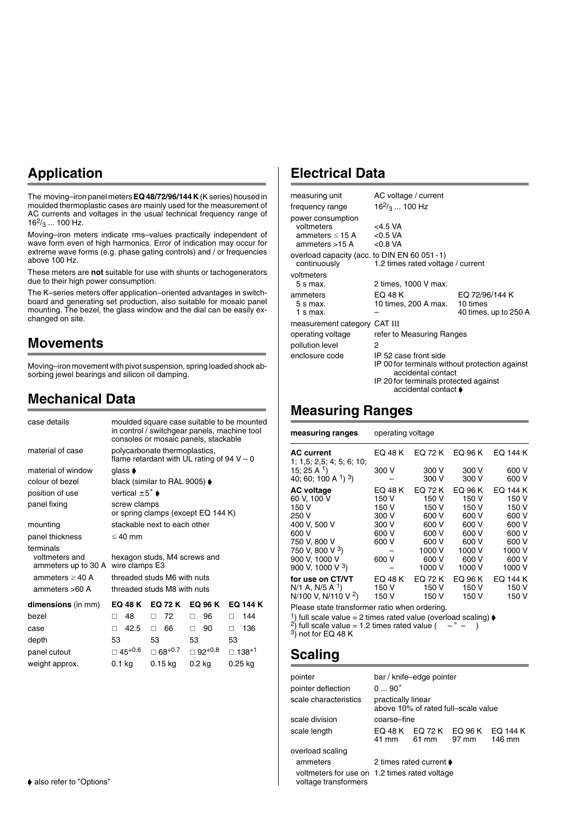# **Application**

The moving–iron panel meters **EQ 48/72/96/144 K** (K series) housed in moulded thermoplastic cases are mainly used for the measurement of AC currents and voltages in the usual technical frequency range of  $16^2$ /<sub>3</sub> ... 100 Hz.

Moving–iron meters indicate rms–values practically independent of wave form even of high harmonics. Error of indication may occur for extreme wave forms (e.g. phase gating controls) and / or frequencies above 100 Hz.

These meters are **not** suitable for use with shunts or tachogenerators due to their high power consumption.

The K–series meters offer application–oriented advantages in switchboard and generating set production, also suitable for mosaic panel mounting. The bezel, the glass window and the dial can be easily exchanged on site.

### **Movements**

Moving–iron movement with pivot suspension, spring loaded shock absorbing jewel bearings and silicon oil damping.

### **Mechanical Data**

| case details                                                                                 |                                    | in control / switchgear panels, machine tool<br>consoles or mosaic panels, stackable       |                  | moulded square case suitable to be mounted |
|----------------------------------------------------------------------------------------------|------------------------------------|--------------------------------------------------------------------------------------------|------------------|--------------------------------------------|
| material of case                                                                             |                                    | polycarbonate thermoplastics,<br>flame retardant with UL rating of $94 V - 0$              |                  |                                            |
| material of window                                                                           | glass $\blacktriangleright$        |                                                                                            |                  |                                            |
| colour of bezel                                                                              |                                    | black (similar to RAL 9005) $\blacklozenge$                                                |                  |                                            |
| position of use                                                                              | vertical $\pm 5^{\circ}$ $\bullet$ |                                                                                            |                  |                                            |
| panel fixing                                                                                 | screw clamps                       | or spring clamps (except EQ 144 K)                                                         |                  |                                            |
| mounting                                                                                     |                                    | stackable next to each other                                                               |                  |                                            |
| panel thickness                                                                              | $\leq 40$ mm                       |                                                                                            |                  |                                            |
| terminals<br>voltmeters and<br>ammeters up to 30 A<br>ammeters $\geq 40$ A<br>ammeters >60 A | wire clamps E3                     | hexagon studs, M4 screws and<br>threaded studs M6 with nuts<br>threaded studs M8 with nuts |                  |                                            |
| dimensions (in mm)                                                                           | <b>EQ 48 K</b>                     | <b>EQ 72 K</b>                                                                             | EQ 96 K          | <b>EQ 144 K</b>                            |
| bezel                                                                                        | 48<br>п                            | 72<br>П                                                                                    | 96<br>п          | 144<br>п                                   |
| case                                                                                         | 42.5<br>п                          | 66<br>п                                                                                    | 90<br>п          | 136<br>п                                   |
| depth                                                                                        | 53                                 | 53                                                                                         | 53               | 53                                         |
| panel cutout                                                                                 | $\Box$ 45+0.6                      | $\square$ 68+0.7                                                                           | $\Box$ 92+0.8    | 138+1                                      |
| weight approx.                                                                               | 0.1 kg                             | 0.15 ka                                                                                    | 0.2 <sub>k</sub> | 0.25 ka                                    |

### **Electrical Data**

| AC voltage / current                                                                                                                                           |                                                     |
|----------------------------------------------------------------------------------------------------------------------------------------------------------------|-----------------------------------------------------|
| $16^2$ / <sub>3</sub> 100 Hz                                                                                                                                   |                                                     |
| $<$ 4.5 VA<br>ammeters $\leq$ 15 A < 0.5 VA<br>ammeters $>15 \text{ A}$ <0.8 VA                                                                                |                                                     |
| overload capacity (acc. to DIN EN 60 051 - 1)<br>1.2 times rated voltage / current                                                                             |                                                     |
| 2 times, 1000 V max.                                                                                                                                           |                                                     |
| EQ 48 K<br>10 times, 200 A max.                                                                                                                                | EQ 72/96/144 K<br>10 times<br>40 times, up to 250 A |
| measurement category CAT III                                                                                                                                   |                                                     |
| refer to Measuring Ranges                                                                                                                                      |                                                     |
| 2                                                                                                                                                              |                                                     |
| IP 52 case front side<br>IP 00 for terminals without protection against<br>accidental contact<br>IP 20 for terminals protected against<br>accidental contact ♦ |                                                     |
|                                                                                                                                                                |                                                     |

### **Measuring Ranges**

| measuring ranges                                    | operating voltage                                  |                  |                  |                   |
|-----------------------------------------------------|----------------------------------------------------|------------------|------------------|-------------------|
| <b>AC current</b><br>1; 1.5; 2.5; 4; 5; 6; 10;      | EO 48 K                                            | EQ 72 K          | EQ 96 K          | EQ 144 K          |
| 15; 25 A $1$ )<br>40; 60; 100 A $^{1}$ ) $^{3}$ )   | 300 V                                              | 300 V<br>300 V   | 300 V<br>300 V   | 600 V<br>600 V    |
| <b>AC voltage</b>                                   | EQ 48 K                                            | EQ 72 K          | EQ 96 K          | EQ 144 K          |
| 60 V. 100 V                                         | 150 V                                              | 150 V            | 150 V            | 150 V             |
| 150 V                                               | 150 V                                              | 150 V            | 150 V            | 150 V             |
| 250 V                                               | 300 V                                              | 600 V            | 600 V            | 600 V             |
| 400 V. 500 V                                        | 300 V                                              | 600 V            | 600 V            | 600 V             |
| 600 V                                               | 600 V                                              | 600 V            | 600 V            | 600 V             |
| 750 V. 800 V                                        | 600 V                                              | 600 V            | 600 V            | 600 V             |
| 750 V, 800 V 3)                                     |                                                    | 1000 V           | 1000 V           | 1000 V            |
| 900 V, 1000 V                                       | 600 V                                              | 600 V            | 600 V            | 600 V             |
| 900 V, 1000 V $3$ )                                 |                                                    | 1000 V           | 1000 V           | 1000 V            |
| for use on CT/VT<br>$N/1$ A, $N/5$ A <sup>1</sup> ) | EQ 48 K<br>150 V                                   | EQ 72 K<br>150 V | EQ 96 K<br>150 V | EQ 144 K<br>150 V |
| N/100 V, N/110 V $^{2}$ )                           | 150 V                                              | 150 V            | 150 V            | 150 V             |
|                                                     | Dissas state to cade on a continuita o particulari |                  |                  |                   |

Please state transformer ratio when ordering.<br><sup>1</sup>) full scale value = 2 times rated value (overload scaling)  $\blacklozenge$ <sup>1</sup>) full scale value = 2 times rated value (overload scaling)  $\phi$ <br><sup>2</sup>) full scale value = 1.2 times rated value ( – " – )

 $^{3)}$  not for EQ 48 K

### **Scaling**

| pointer                                                               |                    | bar / knife-edge pointer        |                                           |        |
|-----------------------------------------------------------------------|--------------------|---------------------------------|-------------------------------------------|--------|
| pointer deflection                                                    | $090^{\circ}$      |                                 |                                           |        |
| scale characteristics                                                 | practically linear |                                 | above 10% of rated full-scale value       |        |
| scale division                                                        | coarse-fine        |                                 |                                           |        |
| scale length                                                          | 41 mm              | 61 mm                           | EQ 48 K EQ 72 K EQ 96 K EQ 144 K<br>97 mm | 146 mm |
| overload scaling                                                      |                    |                                 |                                           |        |
| ammeters                                                              |                    | 2 times rated current $\bullet$ |                                           |        |
| voltmeters for use on 1.2 times rated voltage<br>voltage transformers |                    |                                 |                                           |        |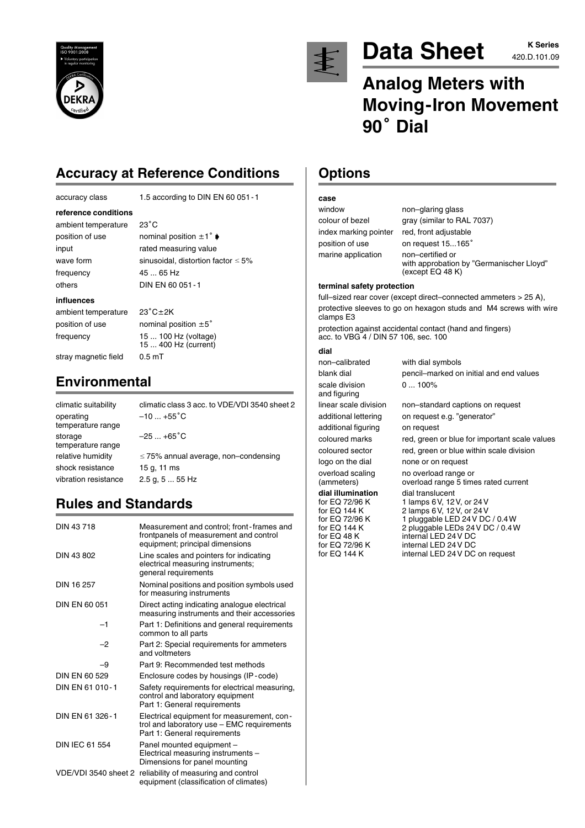



# Data Sheet **AZO.D.101.09**

# **Analog Meters with Moving-Iron Movement** Analog<br>Moving·<br>90<sup>°</sup> Dial

# **Accuracy at Reference Conditions**

| accuracy class |  |
|----------------|--|
|                |  |

1.5 according to DIN EN 60 051 - 1

#### **reference conditions**

ambient temperature frequency 45 ... 65 Hz others DIN EN 60 051-1

 $23^{\circ}$ C position of use nominal position  $\pm 1^{\circ}$ input rated measuring value wave form sinusoidal, distortion factor  $\leq 5\%$ 

#### **influences**

ambient temperature position of use nominal position  $\pm 5^{\circ}$ 

 $23^{\circ}$ C $\pm$ 2K frequency 15 ... 100 Hz (voltage) 15 ... 400 Hz (current) stray magnetic field 0.5 mT

# **Environmental**

| climatic suitability<br>operating<br>temperature range | climatic class 3 acc. to VDE/VDI 3540 sheet 2<br>$-10$ +55 <sup>°</sup> C |
|--------------------------------------------------------|---------------------------------------------------------------------------|
| storage<br>temperature range                           | $-25+65^{\circ}C$                                                         |
| relative humidity                                      | $\leq$ 75% annual average, non-condensing                                 |
| shock resistance                                       | 15 g, 11 ms                                                               |
| vibration resistance                                   | $2.5$ g, $555$ Hz                                                         |

# **Rules and Standards**

| DIN 43718             | Measurement and control; front-frames and<br>frontpanels of measurement and control<br>equipment; principal dimensions   |
|-----------------------|--------------------------------------------------------------------------------------------------------------------------|
| DIN 43 802            | Line scales and pointers for indicating<br>electrical measuring instruments;<br>general requirements                     |
| DIN 16 257            | Nominal positions and position symbols used<br>for measuring instruments                                                 |
| DIN EN 60 051         | Direct acting indicating analogue electrical<br>measuring instruments and their accessories                              |
| $-1$                  | Part 1: Definitions and general requirements<br>common to all parts                                                      |
| -2                    | Part 2: Special requirements for ammeters<br>and voltmeters                                                              |
| -9                    | Part 9: Recommended test methods                                                                                         |
| DIN EN 60 529         | Enclosure codes by housings (IP-code)                                                                                    |
| DIN EN 61 010-1       | Safety requirements for electrical measuring,<br>control and laboratory equipment<br>Part 1: General requirements        |
| DIN EN 61 326-1       | Electrical equipment for measurement, con-<br>trol and laboratory use - EMC requirements<br>Part 1: General requirements |
| <b>DIN IEC 61 554</b> | Panel mounted equipment -<br>Electrical measuring instruments -<br>Dimensions for panel mounting                         |
| VDE/VDI 3540 sheet 2  | reliability of measuring and control<br>equipment (classification of climates)                                           |

## **Options**

### **case**

| window                | non-glaring glass                                                                |
|-----------------------|----------------------------------------------------------------------------------|
| colour of bezel       | gray (similar to RAL 7037)                                                       |
| index marking pointer | red, front adjustable                                                            |
| position of use       | on request 15165°                                                                |
| marine application    | non-certified or<br>with approbation by "Germanischer Llovd"<br>(except EQ 48 K) |

#### **terminal safety protection**

full–sized rear cover (except direct–connected ammeters > 25 A), protective sleeves to go on hexagon studs and M4 screws with wire clamps E3

protection against accidental contact (hand and fingers) acc. to VBG 4 / DIN 57 106, sec. 100

### **dial**

non–calibrated with dial symbols blank dial pencil–marked on initial and end values scale division 0 ... 100% and figuring linear scale division non–standard captions on request additional lettering on request e.g. "generator" additional figuring on request coloured marks red, green or blue for important scale values coloured sector red, green or blue within scale division logo on the dial none or on request overload scaling no overload range or<br>
(ammeters) overload range 5 time overload range 5 times rated current **dial illumination** dial translucent<br>for EQ 72/96 K 1 lamps 6 V, 12 for EQ 72/96 K 1 lamps 6V, 12V, or 24 V for EQ 144 K 2 lamps 6V, 12V, or 24V for EQ 72/96 K 1 pluggable LED 24 V DC / 0.4W<br>for EQ 144 K 2 pluggable LEDs 24 V DC / 0.4 V for EQ 144 K  $\frac{2 \text{ plugging}}{2 \text{ H}} = 24 \text{ V} = 24 \text{ V} = 24 \text{ V} = 24 \text{ V} = 24 \text{ V} = 24 \text{ V} = 24 \text{ V} = 24 \text{ V} = 24 \text{ V} = 24 \text{ V} = 24 \text{ V} = 24 \text{ V} = 24 \text{ V} = 24 \text{ V} = 24 \text{ V} = 24 \text{ V} = 24 \text{ V} = 24 \text{ V} = 24 \text{ V} = 24 \text{ V} = 24 \text{ V} =$ for EQ 48 K internal LED 24 V DC<br>for EQ 72/96 K internal LED 24 V DC for EQ 72/96 K internal LED 24 V DC<br>for EQ 144 K internal LED 24 V DC internal LED 24 V DC on request